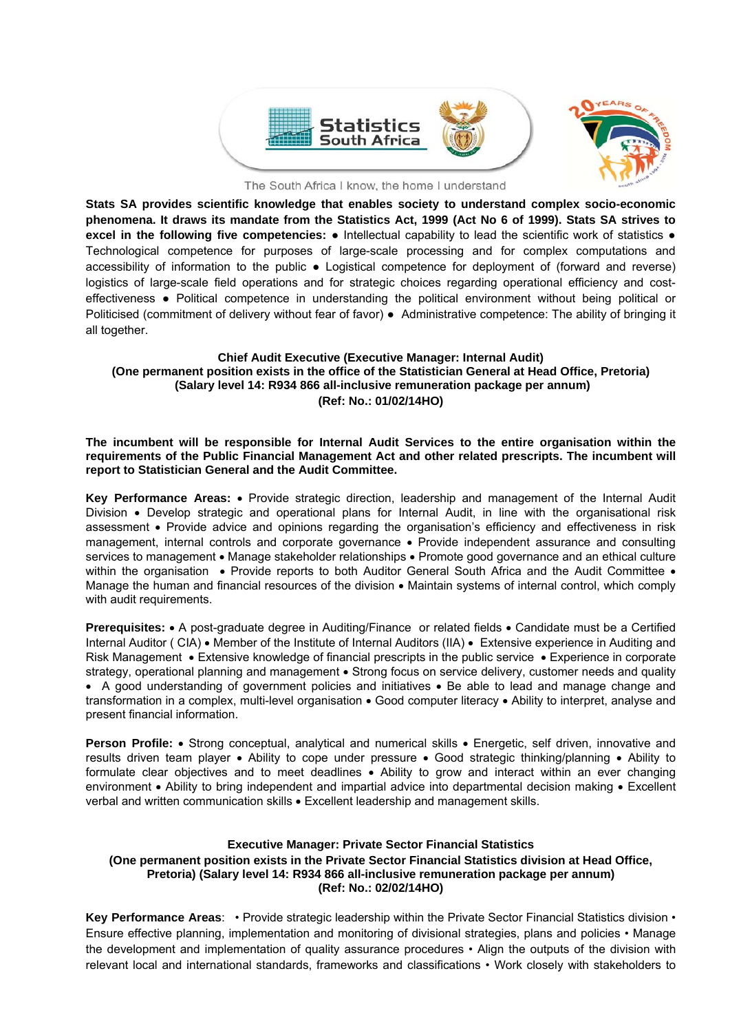

The South Africa I know, the home I understand

**Stats SA provides scientific knowledge that enables society to understand complex socio-economic phenomena. It draws its mandate from the Statistics Act, 1999 (Act No 6 of 1999). Stats SA strives to excel in the following five competencies:** ● Intellectual capability to lead the scientific work of statistics ● Technological competence for purposes of large-scale processing and for complex computations and accessibility of information to the public ● Logistical competence for deployment of (forward and reverse) logistics of large-scale field operations and for strategic choices regarding operational efficiency and costeffectiveness ● Political competence in understanding the political environment without being political or Politicised (commitment of delivery without fear of favor) ● Administrative competence: The ability of bringing it all together.

### **Chief Audit Executive (Executive Manager: Internal Audit) (One permanent position exists in the office of the Statistician General at Head Office, Pretoria) (Salary level 14: R934 866 all-inclusive remuneration package per annum) (Ref: No.: 01/02/14HO)**

**The incumbent will be responsible for Internal Audit Services to the entire organisation within the requirements of the Public Financial Management Act and other related prescripts. The incumbent will report to Statistician General and the Audit Committee.** 

**Key Performance Areas:** Provide strategic direction, leadership and management of the Internal Audit Division • Develop strategic and operational plans for Internal Audit, in line with the organisational risk assessment • Provide advice and opinions regarding the organisation's efficiency and effectiveness in risk management, internal controls and corporate governance • Provide independent assurance and consulting services to management . Manage stakeholder relationships . Promote good governance and an ethical culture within the organisation • Provide reports to both Auditor General South Africa and the Audit Committee • Manage the human and financial resources of the division • Maintain systems of internal control, which comply with audit requirements.

**Prerequisites:** • A post-graduate degree in Auditing/Finance or related fields • Candidate must be a Certified Internal Auditor ( CIA) • Member of the Institute of Internal Auditors (IIA) • Extensive experience in Auditing and Risk Management • Extensive knowledge of financial prescripts in the public service • Experience in corporate strategy, operational planning and management • Strong focus on service delivery, customer needs and quality • A good understanding of government policies and initiatives • Be able to lead and manage change and transformation in a complex, multi-level organisation • Good computer literacy • Ability to interpret, analyse and present financial information.

**Person Profile:** • Strong conceptual, analytical and numerical skills • Energetic, self driven, innovative and results driven team player • Ability to cope under pressure • Good strategic thinking/planning • Ability to formulate clear objectives and to meet deadlines • Ability to grow and interact within an ever changing environment • Ability to bring independent and impartial advice into departmental decision making • Excellent verbal and written communication skills Excellent leadership and management skills.

### **Executive Manager: Private Sector Financial Statistics (One permanent position exists in the Private Sector Financial Statistics division at Head Office, Pretoria) (Salary level 14: R934 866 all-inclusive remuneration package per annum) (Ref: No.: 02/02/14HO)**

**Key Performance Areas**: • Provide strategic leadership within the Private Sector Financial Statistics division • Ensure effective planning, implementation and monitoring of divisional strategies, plans and policies • Manage the development and implementation of quality assurance procedures • Align the outputs of the division with relevant local and international standards, frameworks and classifications • Work closely with stakeholders to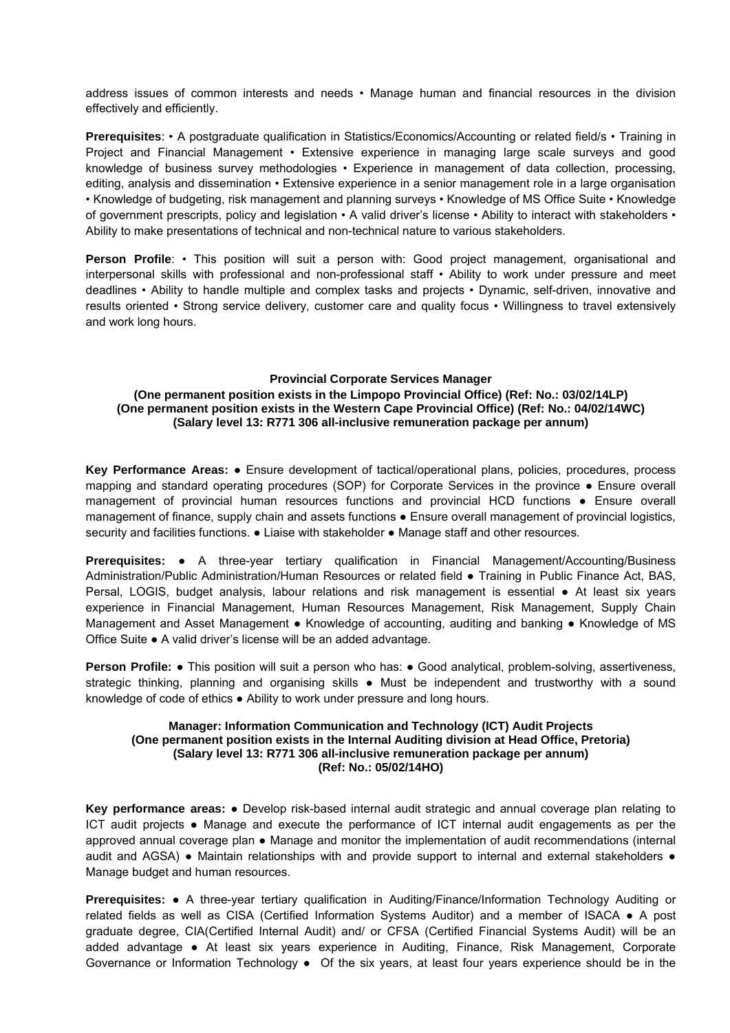address issues of common interests and needs • Manage human and financial resources in the division effectively and efficiently.

**Prerequisites**: • A postgraduate qualification in Statistics/Economics/Accounting or related field/s • Training in Project and Financial Management • Extensive experience in managing large scale surveys and good knowledge of business survey methodologies • Experience in management of data collection, processing, editing, analysis and dissemination • Extensive experience in a senior management role in a large organisation • Knowledge of budgeting, risk management and planning surveys • Knowledge of MS Office Suite • Knowledge of government prescripts, policy and legislation • A valid driver's license • Ability to interact with stakeholders • Ability to make presentations of technical and non-technical nature to various stakeholders.

Person Profile: • This position will suit a person with: Good project management, organisational and interpersonal skills with professional and non-professional staff • Ability to work under pressure and meet deadlines • Ability to handle multiple and complex tasks and projects • Dynamic, self-driven, innovative and results oriented • Strong service delivery, customer care and quality focus • Willingness to travel extensively and work long hours.

### **Provincial Corporate Services Manager**

### **(One permanent position exists in the Limpopo Provincial Office) (Ref: No.: 03/02/14LP) (One permanent position exists in the Western Cape Provincial Office) (Ref: No.: 04/02/14WC) (Salary level 13: R771 306 all-inclusive remuneration package per annum)**

**Key Performance Areas:** ● Ensure development of tactical/operational plans, policies, procedures, process mapping and standard operating procedures (SOP) for Corporate Services in the province ● Ensure overall management of provincial human resources functions and provincial HCD functions ● Ensure overall management of finance, supply chain and assets functions ● Ensure overall management of provincial logistics, security and facilities functions.  $\bullet$  Liaise with stakeholder  $\bullet$  Manage staff and other resources.

**Prerequisites:** ● A three-year tertiary qualification in Financial Management/Accounting/Business Administration/Public Administration/Human Resources or related field ● Training in Public Finance Act, BAS, Persal, LOGIS, budget analysis, labour relations and risk management is essential ● At least six years experience in Financial Management, Human Resources Management, Risk Management, Supply Chain Management and Asset Management • Knowledge of accounting, auditing and banking • Knowledge of MS Office Suite ● A valid driver's license will be an added advantage.

**Person Profile: •** This position will suit a person who has: • Good analytical, problem-solving, assertiveness, strategic thinking, planning and organising skills • Must be independent and trustworthy with a sound knowledge of code of ethics ● Ability to work under pressure and long hours.

### **Manager: Information Communication and Technology (ICT) Audit Projects (One permanent position exists in the Internal Auditing division at Head Office, Pretoria) (Salary level 13: R771 306 all-inclusive remuneration package per annum) (Ref: No.: 05/02/14HO)**

**Key performance areas:** ● Develop risk-based internal audit strategic and annual coverage plan relating to ICT audit projects ● Manage and execute the performance of ICT internal audit engagements as per the approved annual coverage plan ● Manage and monitor the implementation of audit recommendations (internal audit and AGSA) • Maintain relationships with and provide support to internal and external stakeholders • Manage budget and human resources.

**Prerequisites:** ● A three-year tertiary qualification in Auditing/Finance/Information Technology Auditing or related fields as well as CISA (Certified Information Systems Auditor) and a member of ISACA ● A post graduate degree, CIA(Certified Internal Audit) and/ or CFSA (Certified Financial Systems Audit) will be an added advantage ● At least six years experience in Auditing, Finance, Risk Management, Corporate Governance or Information Technology • Of the six years, at least four years experience should be in the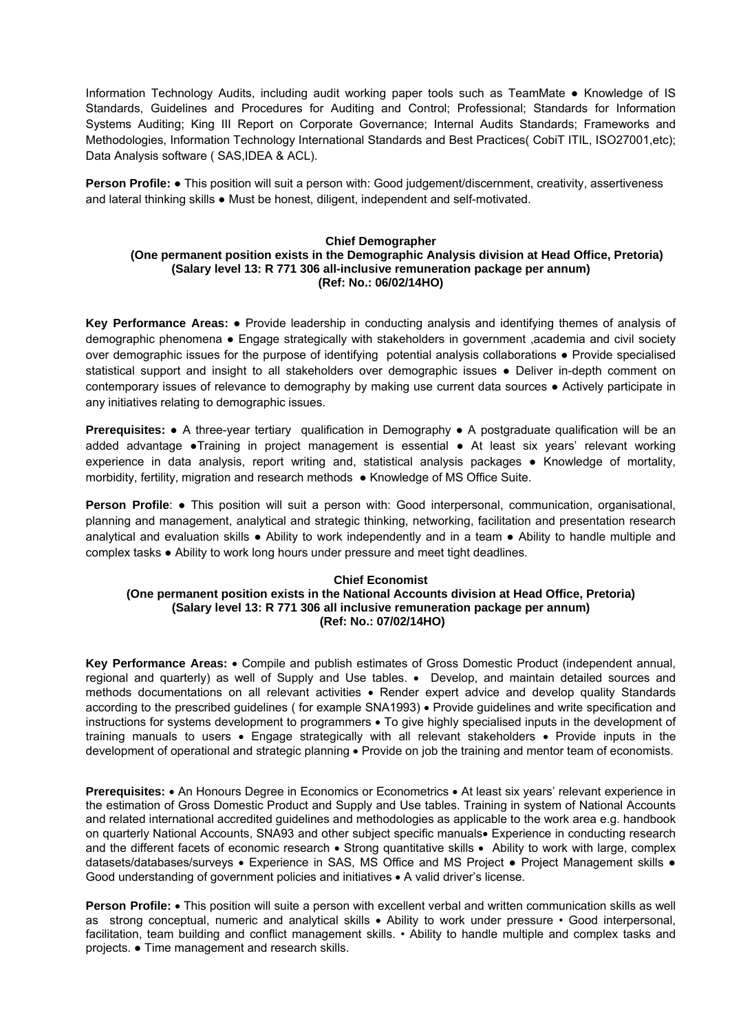Information Technology Audits, including audit working paper tools such as TeamMate ● Knowledge of IS Standards, Guidelines and Procedures for Auditing and Control; Professional; Standards for Information Systems Auditing; King III Report on Corporate Governance; Internal Audits Standards; Frameworks and Methodologies, Information Technology International Standards and Best Practices( CobiT ITIL, ISO27001,etc); Data Analysis software ( SAS,IDEA & ACL).

**Person Profile: ●** This position will suit a person with: Good judgement/discernment, creativity, assertiveness and lateral thinking skills • Must be honest, diligent, independent and self-motivated.

### **Chief Demographer (One permanent position exists in the Demographic Analysis division at Head Office, Pretoria) (Salary level 13: R 771 306 all-inclusive remuneration package per annum) (Ref: No.: 06/02/14HO)**

**Key Performance Areas:** ● Provide leadership in conducting analysis and identifying themes of analysis of demographic phenomena ● Engage strategically with stakeholders in government ,academia and civil society over demographic issues for the purpose of identifying potential analysis collaborations ● Provide specialised statistical support and insight to all stakeholders over demographic issues ● Deliver in-depth comment on contemporary issues of relevance to demography by making use current data sources ● Actively participate in any initiatives relating to demographic issues.

**Prerequisites:** ● A three-year tertiary qualification in Demography ● A postgraduate qualification will be an added advantage ●Training in project management is essential ● At least six years' relevant working experience in data analysis, report writing and, statistical analysis packages ● Knowledge of mortality, morbidity, fertility, migration and research methods ● Knowledge of MS Office Suite.

**Person Profile: ●** This position will suit a person with: Good interpersonal, communication, organisational, planning and management, analytical and strategic thinking, networking, facilitation and presentation research analytical and evaluation skills ● Ability to work independently and in a team ● Ability to handle multiple and complex tasks ● Ability to work long hours under pressure and meet tight deadlines.

### **Chief Economist (One permanent position exists in the National Accounts division at Head Office, Pretoria) (Salary level 13: R 771 306 all inclusive remuneration package per annum) (Ref: No.: 07/02/14HO)**

**Key Performance Areas:** Compile and publish estimates of Gross Domestic Product (independent annual, regional and quarterly) as well of Supply and Use tables. • Develop, and maintain detailed sources and methods documentations on all relevant activities • Render expert advice and develop quality Standards according to the prescribed guidelines ( for example SNA1993) • Provide guidelines and write specification and instructions for systems development to programmers . To give highly specialised inputs in the development of training manuals to users • Engage strategically with all relevant stakeholders • Provide inputs in the development of operational and strategic planning • Provide on job the training and mentor team of economists.

**Prerequisites:** • An Honours Degree in Economics or Econometrics • At least six years' relevant experience in the estimation of Gross Domestic Product and Supply and Use tables. Training in system of National Accounts and related international accredited guidelines and methodologies as applicable to the work area e.g. handbook on quarterly National Accounts, SNA93 and other subject specific manuals Experience in conducting research and the different facets of economic research . Strong quantitative skills . Ability to work with large, complex datasets/databases/surveys • Experience in SAS, MS Office and MS Project • Project Management skills • Good understanding of government policies and initiatives  $\bullet$  A valid driver's license.

**Person Profile:** • This position will suite a person with excellent verbal and written communication skills as well as strong conceptual, numeric and analytical skills • Ability to work under pressure • Good interpersonal, facilitation, team building and conflict management skills. • Ability to handle multiple and complex tasks and projects. ● Time management and research skills.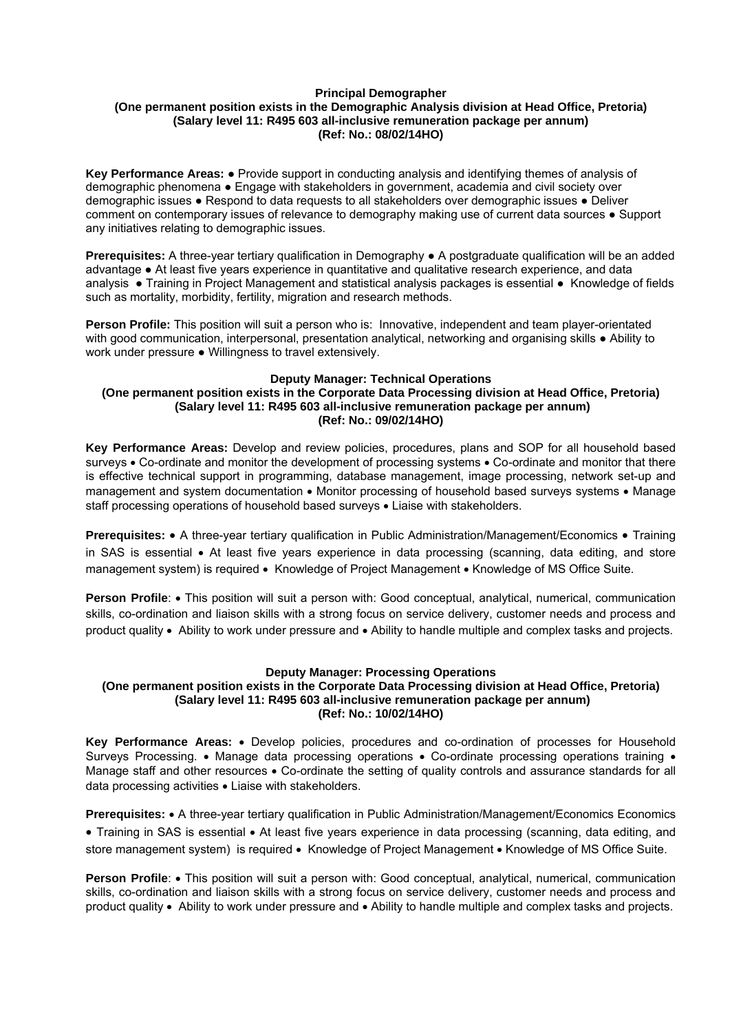### **Principal Demographer (One permanent position exists in the Demographic Analysis division at Head Office, Pretoria) (Salary level 11: R495 603 all-inclusive remuneration package per annum) (Ref: No.: 08/02/14HO)**

**Key Performance Areas:** ● Provide support in conducting analysis and identifying themes of analysis of demographic phenomena ● Engage with stakeholders in government, academia and civil society over demographic issues ● Respond to data requests to all stakeholders over demographic issues ● Deliver comment on contemporary issues of relevance to demography making use of current data sources ● Support any initiatives relating to demographic issues.

**Prerequisites:** A three-year tertiary qualification in Demography ● A postgraduate qualification will be an added advantage ● At least five years experience in quantitative and qualitative research experience, and data analysis ● Training in Project Management and statistical analysis packages is essential ● Knowledge of fields such as mortality, morbidity, fertility, migration and research methods.

**Person Profile:** This position will suit a person who is: Innovative, independent and team player-orientated with good communication, interpersonal, presentation analytical, networking and organising skills ● Ability to work under pressure ● Willingness to travel extensively.

### **Deputy Manager: Technical Operations (One permanent position exists in the Corporate Data Processing division at Head Office, Pretoria) (Salary level 11: R495 603 all-inclusive remuneration package per annum) (Ref: No.: 09/02/14HO)**

**Key Performance Areas:** Develop and review policies, procedures, plans and SOP for all household based surveys • Co-ordinate and monitor the development of processing systems • Co-ordinate and monitor that there is effective technical support in programming, database management, image processing, network set-up and management and system documentation  $\bullet$  Monitor processing of household based surveys systems  $\bullet$  Manage staff processing operations of household based surveys  $\bullet$  Liaise with stakeholders.

**Prerequisites:** • A three-year tertiary qualification in Public Administration/Management/Economics • Training in SAS is essential • At least five years experience in data processing (scanning, data editing, and store management system) is required • Knowledge of Project Management • Knowledge of MS Office Suite.

**Person Profile:** • This position will suit a person with: Good conceptual, analytical, numerical, communication skills, co-ordination and liaison skills with a strong focus on service delivery, customer needs and process and product quality Ability to work under pressure and Ability to handle multiple and complex tasks and projects.

# **Deputy Manager: Processing Operations**

### **(One permanent position exists in the Corporate Data Processing division at Head Office, Pretoria) (Salary level 11: R495 603 all-inclusive remuneration package per annum) (Ref: No.: 10/02/14HO)**

**Key Performance Areas:** Develop policies, procedures and co-ordination of processes for Household Surveys Processing. • Manage data processing operations • Co-ordinate processing operations training • Manage staff and other resources • Co-ordinate the setting of quality controls and assurance standards for all data processing activities • Liaise with stakeholders.

**Prerequisites:** • A three-year tertiary qualification in Public Administration/Management/Economics Economics • Training in SAS is essential • At least five years experience in data processing (scanning, data editing, and store management system) is required • Knowledge of Project Management • Knowledge of MS Office Suite.

**Person Profile:** • This position will suit a person with: Good conceptual, analytical, numerical, communication skills, co-ordination and liaison skills with a strong focus on service delivery, customer needs and process and product quality Ability to work under pressure and Ability to handle multiple and complex tasks and projects.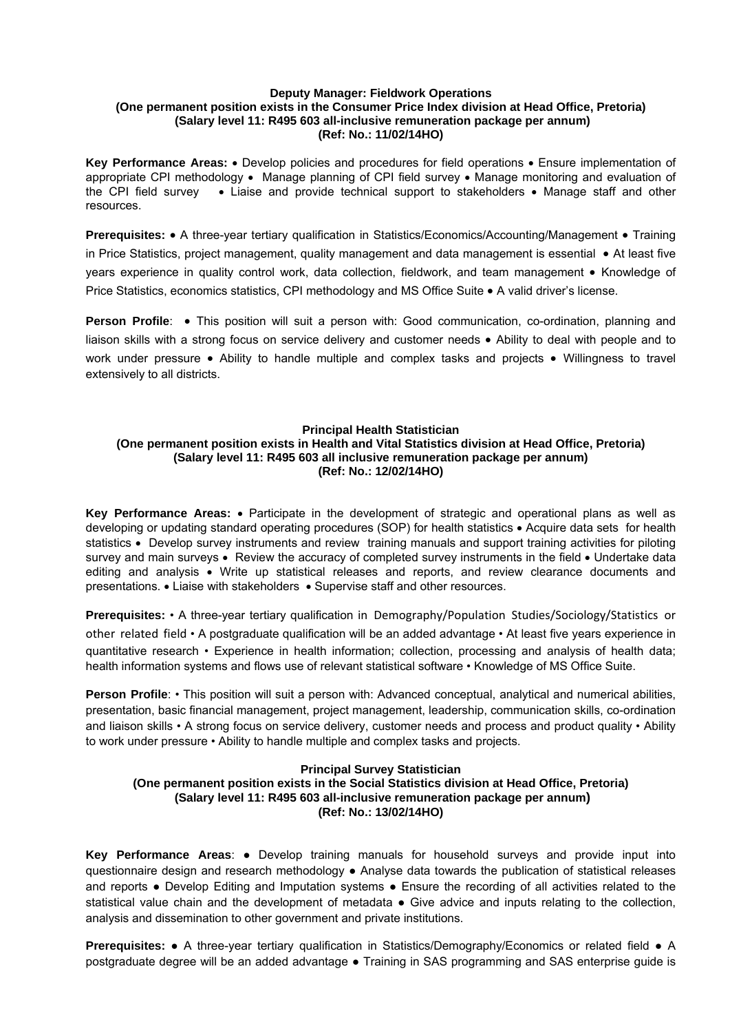### **Deputy Manager: Fieldwork Operations (One permanent position exists in the Consumer Price Index division at Head Office, Pretoria) (Salary level 11: R495 603 all-inclusive remuneration package per annum) (Ref: No.: 11/02/14HO)**

**Key Performance Areas:** • Develop policies and procedures for field operations • Ensure implementation of appropriate CPI methodology • Manage planning of CPI field survey • Manage monitoring and evaluation of the CPI field survey  $\bullet$  Liaise and provide technical support to stakeholders  $\bullet$  Manage staff and other resources.

**Prerequisites:** • A three-year tertiary qualification in Statistics/Economics/Accounting/Management • Training in Price Statistics, project management, quality management and data management is essential  $\bullet$  At least five years experience in quality control work, data collection, fieldwork, and team management • Knowledge of Price Statistics, economics statistics, CPI methodology and MS Office Suite • A valid driver's license.

**Person Profile:** . This position will suit a person with: Good communication, co-ordination, planning and liaison skills with a strong focus on service delivery and customer needs  $\bullet$  Ability to deal with people and to work under pressure • Ability to handle multiple and complex tasks and projects • Willingness to travel extensively to all districts.

### **Principal Health Statistician**

### **(One permanent position exists in Health and Vital Statistics division at Head Office, Pretoria) (Salary level 11: R495 603 all inclusive remuneration package per annum) (Ref: No.: 12/02/14HO)**

**Key Performance Areas:**  Participate in the development of strategic and operational plans as well as developing or updating standard operating procedures (SOP) for health statistics Acquire data sets for health statistics • Develop survey instruments and review training manuals and support training activities for piloting survey and main surveys • Review the accuracy of completed survey instruments in the field • Undertake data editing and analysis Write up statistical releases and reports, and review clearance documents and presentations. • Liaise with stakeholders • Supervise staff and other resources.

**Prerequisites:** • A three-year tertiary qualification in Demography/Population Studies/Sociology/Statistics or other related field • A postgraduate qualification will be an added advantage • At least five years experience in quantitative research • Experience in health information; collection, processing and analysis of health data; health information systems and flows use of relevant statistical software • Knowledge of MS Office Suite.

**Person Profile:** • This position will suit a person with: Advanced conceptual, analytical and numerical abilities, presentation, basic financial management, project management, leadership, communication skills, co-ordination and liaison skills • A strong focus on service delivery, customer needs and process and product quality • Ability to work under pressure • Ability to handle multiple and complex tasks and projects.

### **Principal Survey Statistician**

## **(One permanent position exists in the Social Statistics division at Head Office, Pretoria) (Salary level 11: R495 603 all-inclusive remuneration package per annum) (Ref: No.: 13/02/14HO)**

**Key Performance Areas**: ● Develop training manuals for household surveys and provide input into questionnaire design and research methodology ● Analyse data towards the publication of statistical releases and reports ● Develop Editing and Imputation systems ● Ensure the recording of all activities related to the statistical value chain and the development of metadata ● Give advice and inputs relating to the collection, analysis and dissemination to other government and private institutions.

**Prerequisites:** ● A three-year tertiary qualification in Statistics/Demography/Economics or related field ● A postgraduate degree will be an added advantage ● Training in SAS programming and SAS enterprise guide is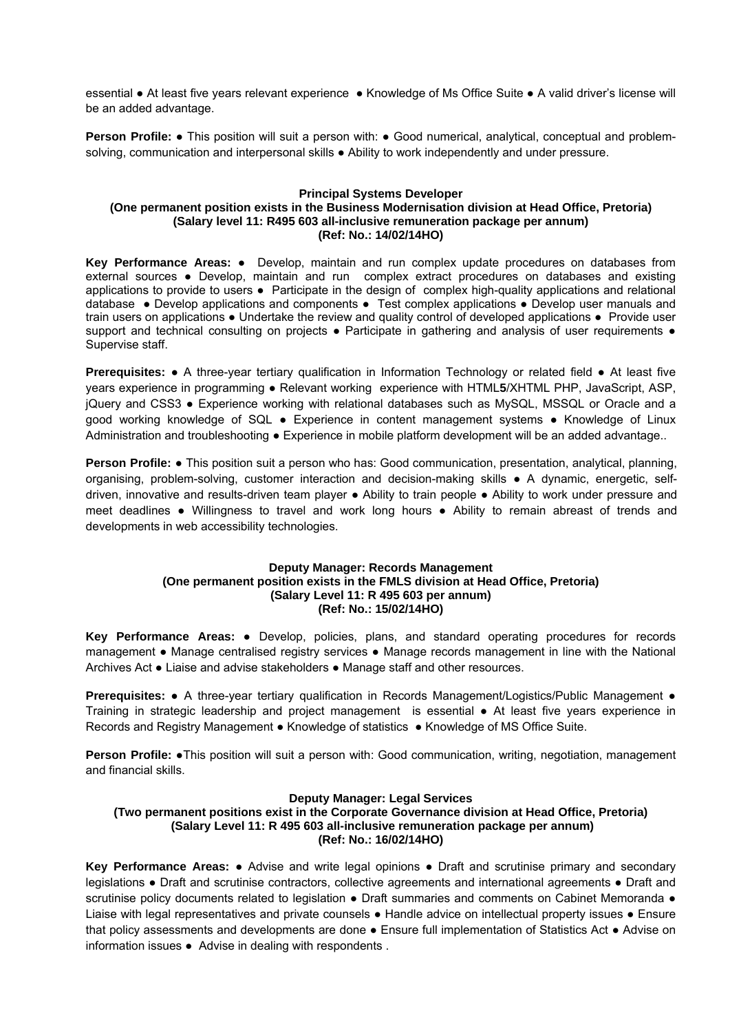essential ● At least five years relevant experience ● Knowledge of Ms Office Suite ● A valid driver's license will be an added advantage.

**Person Profile:** ● This position will suit a person with: ● Good numerical, analytical, conceptual and problemsolving, communication and interpersonal skills • Ability to work independently and under pressure.

### **Principal Systems Developer (One permanent position exists in the Business Modernisation division at Head Office, Pretoria) (Salary level 11: R495 603 all-inclusive remuneration package per annum) (Ref: No.: 14/02/14HO)**

**Key Performance Areas:** ● Develop, maintain and run complex update procedures on databases from external sources ● Develop, maintain and run complex extract procedures on databases and existing applications to provide to users ● Participate in the design of complex high-quality applications and relational database ● Develop applications and components ● Test complex applications ● Develop user manuals and train users on applications ● Undertake the review and quality control of developed applications ● Provide user support and technical consulting on projects • Participate in gathering and analysis of user requirements • Supervise staff.

**Prerequisites: •** A three-year tertiary qualification in Information Technology or related field • At least five years experience in programming ● Relevant working experience with HTML**5**/XHTML PHP, JavaScript, ASP, jQuery and CSS3 ● Experience working with relational databases such as MySQL, MSSQL or Oracle and a good working knowledge of SQL ● Experience in content management systems ● Knowledge of Linux Administration and troubleshooting ● Experience in mobile platform development will be an added advantage..

**Person Profile:** ● This position suit a person who has: Good communication, presentation, analytical, planning, organising, problem-solving, customer interaction and decision-making skills ● A dynamic, energetic, selfdriven, innovative and results-driven team player ● Ability to train people ● Ability to work under pressure and meet deadlines ● Willingness to travel and work long hours ● Ability to remain abreast of trends and developments in web accessibility technologies.

### **Deputy Manager: Records Management (One permanent position exists in the FMLS division at Head Office, Pretoria) (Salary Level 11: R 495 603 per annum) (Ref: No.: 15/02/14HO)**

**Key Performance Areas:** ● Develop, policies, plans, and standard operating procedures for records management ● Manage centralised registry services ● Manage records management in line with the National Archives Act ● Liaise and advise stakeholders ● Manage staff and other resources.

**Prerequisites:** ● A three-year tertiary qualification in Records Management/Logistics/Public Management ● Training in strategic leadership and project management is essential ● At least five years experience in Records and Registry Management ● Knowledge of statistics ● Knowledge of MS Office Suite.

**Person Profile: ●This position will suit a person with: Good communication, writing, negotiation, management** and financial skills.

### **Deputy Manager: Legal Services**

**(Two permanent positions exist in the Corporate Governance division at Head Office, Pretoria) (Salary Level 11: R 495 603 all-inclusive remuneration package per annum) (Ref: No.: 16/02/14HO)** 

**Key Performance Areas:** ● Advise and write legal opinions ● Draft and scrutinise primary and secondary legislations ● Draft and scrutinise contractors, collective agreements and international agreements ● Draft and scrutinise policy documents related to legislation • Draft summaries and comments on Cabinet Memoranda • Liaise with legal representatives and private counsels ● Handle advice on intellectual property issues ● Ensure that policy assessments and developments are done ● Ensure full implementation of Statistics Act ● Advise on information issues ● Advise in dealing with respondents .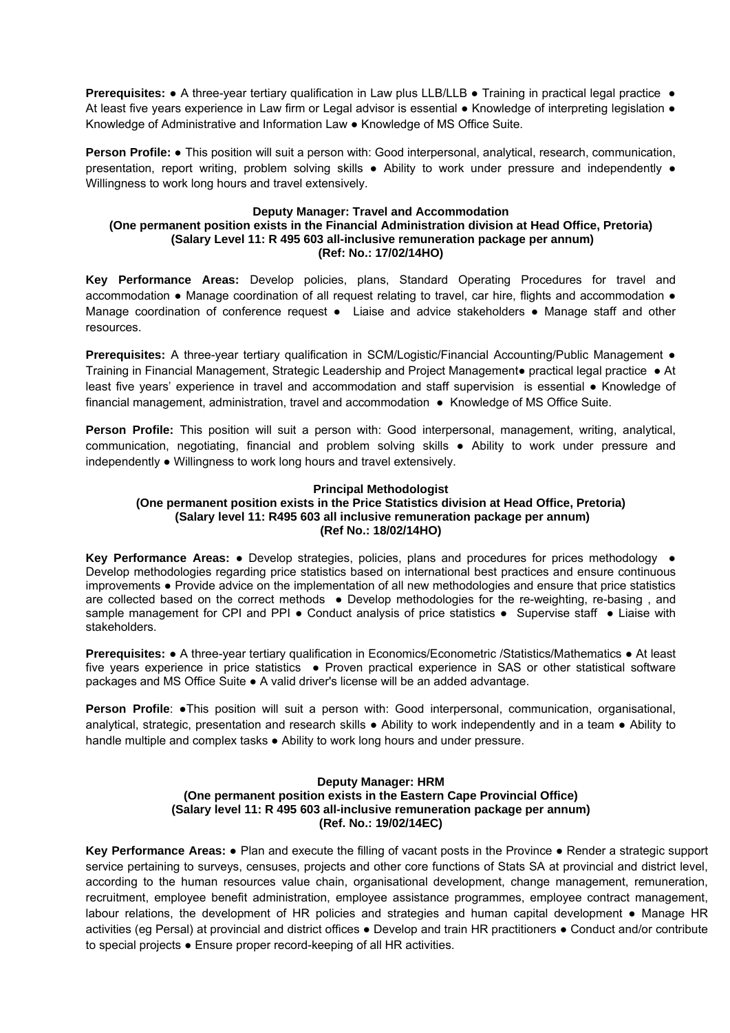**Prerequisites: •** A three-year tertiary qualification in Law plus LLB/LLB • Training in practical legal practice • At least five years experience in Law firm or Legal advisor is essential ● Knowledge of interpreting legislation ● Knowledge of Administrative and Information Law ● Knowledge of MS Office Suite.

**Person Profile:** ● This position will suit a person with: Good interpersonal, analytical, research, communication, presentation, report writing, problem solving skills ● Ability to work under pressure and independently ● Willingness to work long hours and travel extensively.

### **Deputy Manager: Travel and Accommodation (One permanent position exists in the Financial Administration division at Head Office, Pretoria) (Salary Level 11: R 495 603 all-inclusive remuneration package per annum) (Ref: No.: 17/02/14HO)**

**Key Performance Areas:** Develop policies, plans, Standard Operating Procedures for travel and accommodation ● Manage coordination of all request relating to travel, car hire, flights and accommodation ● Manage coordination of conference request • Liaise and advice stakeholders • Manage staff and other resources.

**Prerequisites:** A three-year tertiary qualification in SCM/Logistic/Financial Accounting/Public Management ● Training in Financial Management, Strategic Leadership and Project Management● practical legal practice ● At least five years' experience in travel and accommodation and staff supervision is essential ● Knowledge of financial management, administration, travel and accommodation • Knowledge of MS Office Suite.

**Person Profile:** This position will suit a person with: Good interpersonal, management, writing, analytical, communication, negotiating, financial and problem solving skills ● Ability to work under pressure and independently ● Willingness to work long hours and travel extensively.

### **Principal Methodologist**

### **(One permanent position exists in the Price Statistics division at Head Office, Pretoria) (Salary level 11: R495 603 all inclusive remuneration package per annum) (Ref No.: 18/02/14HO)**

**Key Performance Areas: ●** Develop strategies, policies, plans and procedures for prices methodology ● Develop methodologies regarding price statistics based on international best practices and ensure continuous improvements ● Provide advice on the implementation of all new methodologies and ensure that price statistics are collected based on the correct methods • Develop methodologies for the re-weighting, re-basing, and sample management for CPI and PPI • Conduct analysis of price statistics • Supervise staff • Liaise with stakeholders.

**Prerequisites:** ● A three-year tertiary qualification in Economics/Econometric /Statistics/Mathematics ● At least five years experience in price statistics • Proven practical experience in SAS or other statistical software packages and MS Office Suite ● A valid driver's license will be an added advantage.

**Person Profile: ●This position will suit a person with: Good interpersonal, communication, organisational,** analytical, strategic, presentation and research skills ● Ability to work independently and in a team ● Ability to handle multiple and complex tasks ● Ability to work long hours and under pressure.

### **Deputy Manager: HRM (One permanent position exists in the Eastern Cape Provincial Office) (Salary level 11: R 495 603 all-inclusive remuneration package per annum) (Ref. No.: 19/02/14EC)**

**Key Performance Areas:** ● Plan and execute the filling of vacant posts in the Province ● Render a strategic support service pertaining to surveys, censuses, projects and other core functions of Stats SA at provincial and district level, according to the human resources value chain, organisational development, change management, remuneration, recruitment, employee benefit administration, employee assistance programmes, employee contract management, labour relations, the development of HR policies and strategies and human capital development ● Manage HR activities (eg Persal) at provincial and district offices ● Develop and train HR practitioners ● Conduct and/or contribute to special projects ● Ensure proper record-keeping of all HR activities.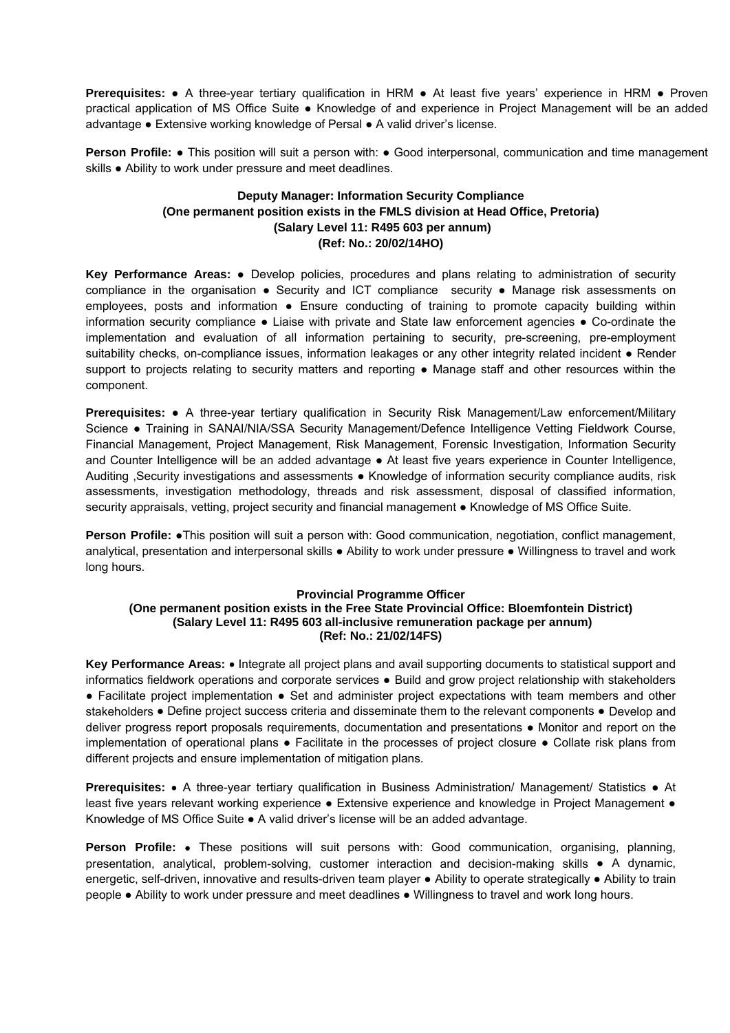**Prerequisites:** ● A three-year tertiary qualification in HRM ● At least five years' experience in HRM ● Proven practical application of MS Office Suite • Knowledge of and experience in Project Management will be an added advantage ● Extensive working knowledge of Persal ● A valid driver's license.

**Person Profile: •** This position will suit a person with: • Good interpersonal, communication and time management skills • Ability to work under pressure and meet deadlines.

# **Deputy Manager: Information Security Compliance (One permanent position exists in the FMLS division at Head Office, Pretoria) (Salary Level 11: R495 603 per annum) (Ref: No.: 20/02/14HO)**

**Key Performance Areas:** ● Develop policies, procedures and plans relating to administration of security compliance in the organisation ● Security and ICT compliance security ● Manage risk assessments on employees, posts and information • Ensure conducting of training to promote capacity building within information security compliance ● Liaise with private and State law enforcement agencies ● Co-ordinate the implementation and evaluation of all information pertaining to security, pre-screening, pre-employment suitability checks, on-compliance issues, information leakages or any other integrity related incident ● Render support to projects relating to security matters and reporting ● Manage staff and other resources within the component.

**Prerequisites:** ● A three-year tertiary qualification in Security Risk Management/Law enforcement/Military Science ● Training in SANAI/NIA/SSA Security Management/Defence Intelligence Vetting Fieldwork Course, Financial Management, Project Management, Risk Management, Forensic Investigation, Information Security and Counter Intelligence will be an added advantage ● At least five years experience in Counter Intelligence, Auditing ,Security investigations and assessments ● Knowledge of information security compliance audits, risk assessments, investigation methodology, threads and risk assessment, disposal of classified information, security appraisals, vetting, project security and financial management • Knowledge of MS Office Suite.

**Person Profile: ●This position will suit a person with: Good communication, negotiation, conflict management,** analytical, presentation and interpersonal skills ● Ability to work under pressure ● Willingness to travel and work long hours.

### **Provincial Programme Officer (One permanent position exists in the Free State Provincial Office: Bloemfontein District) (Salary Level 11: R495 603 all-inclusive remuneration package per annum) (Ref: No.: 21/02/14FS)**

Key Performance Areas: • Integrate all project plans and avail supporting documents to statistical support and informatics fieldwork operations and corporate services ● Build and grow project relationship with stakeholders ● Facilitate project implementation ● Set and administer project expectations with team members and other stakeholders ● Define project success criteria and disseminate them to the relevant components ● Develop and deliver progress report proposals requirements, documentation and presentations ● Monitor and report on the implementation of operational plans ● Facilitate in the processes of project closure ● Collate risk plans from different projects and ensure implementation of mitigation plans.

**Prerequisites: •** A three-year tertiary qualification in Business Administration/ Management/ Statistics • At least five years relevant working experience · Extensive experience and knowledge in Project Management · Knowledge of MS Office Suite ● A valid driver's license will be an added advantage.

**Person Profile:** • These positions will suit persons with: Good communication, organising, planning, presentation, analytical, problem-solving, customer interaction and decision-making skills ● A dynamic, energetic, self-driven, innovative and results-driven team player ● Ability to operate strategically ● Ability to train people ● Ability to work under pressure and meet deadlines ● Willingness to travel and work long hours.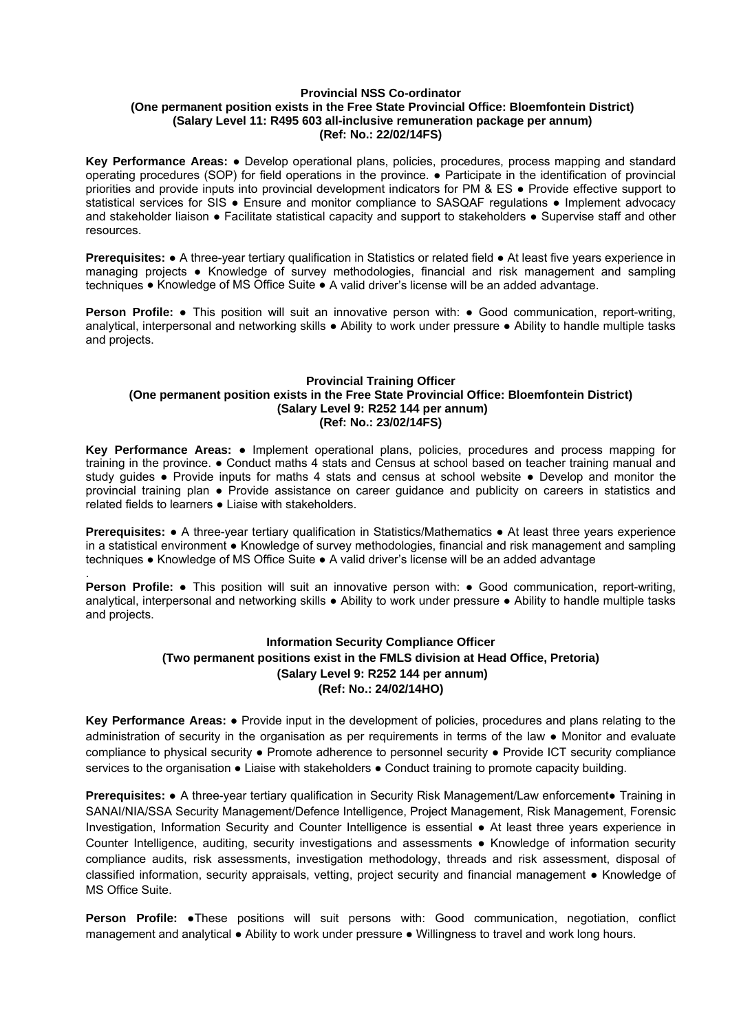### **Provincial NSS Co-ordinator (One permanent position exists in the Free State Provincial Office: Bloemfontein District) (Salary Level 11: R495 603 all-inclusive remuneration package per annum) (Ref: No.: 22/02/14FS)**

**Key Performance Areas:** ● Develop operational plans, policies, procedures, process mapping and standard operating procedures (SOP) for field operations in the province. ● Participate in the identification of provincial priorities and provide inputs into provincial development indicators for PM & ES ● Provide effective support to statistical services for SIS • Ensure and monitor compliance to SASQAF regulations • Implement advocacy and stakeholder liaison • Facilitate statistical capacity and support to stakeholders • Supervise staff and other resources.

**Prerequisites: ●** A three-year tertiary qualification in Statistics or related field ● At least five years experience in managing projects ● Knowledge of survey methodologies, financial and risk management and sampling techniques ● Knowledge of MS Office Suite ● A valid driver's license will be an added advantage.

**Person Profile:** ● This position will suit an innovative person with: ● Good communication, report-writing, analytical, interpersonal and networking skills ● Ability to work under pressure ● Ability to handle multiple tasks and projects.

### **Provincial Training Officer (One permanent position exists in the Free State Provincial Office: Bloemfontein District) (Salary Level 9: R252 144 per annum) (Ref: No.: 23/02/14FS)**

**Key Performance Areas:** ● Implement operational plans, policies, procedures and process mapping for training in the province. ● Conduct maths 4 stats and Census at school based on teacher training manual and study guides • Provide inputs for maths 4 stats and census at school website • Develop and monitor the provincial training plan ● Provide assistance on career guidance and publicity on careers in statistics and related fields to learners ● Liaise with stakeholders.

**Prerequisites: ●** A three-year tertiary qualification in Statistics/Mathematics ● At least three years experience in a statistical environment ● Knowledge of survey methodologies, financial and risk management and sampling techniques ● Knowledge of MS Office Suite ● A valid driver's license will be an added advantage

. **Person Profile:** ● This position will suit an innovative person with: ● Good communication, report-writing, analytical, interpersonal and networking skills ● Ability to work under pressure ● Ability to handle multiple tasks and projects.

# **Information Security Compliance Officer (Two permanent positions exist in the FMLS division at Head Office, Pretoria) (Salary Level 9: R252 144 per annum) (Ref: No.: 24/02/14HO)**

**Key Performance Areas:** ● Provide input in the development of policies, procedures and plans relating to the administration of security in the organisation as per requirements in terms of the law ● Monitor and evaluate compliance to physical security ● Promote adherence to personnel security ● Provide ICT security compliance services to the organisation ● Liaise with stakeholders ● Conduct training to promote capacity building.

**Prerequisites:** ● A three-year tertiary qualification in Security Risk Management/Law enforcement● Training in SANAI/NIA/SSA Security Management/Defence Intelligence, Project Management, Risk Management, Forensic Investigation, Information Security and Counter Intelligence is essential ● At least three years experience in Counter Intelligence, auditing, security investigations and assessments ● Knowledge of information security compliance audits, risk assessments, investigation methodology, threads and risk assessment, disposal of classified information, security appraisals, vetting, project security and financial management ● Knowledge of MS Office Suite.

**Person Profile:** ●These positions will suit persons with: Good communication, negotiation, conflict management and analytical ● Ability to work under pressure ● Willingness to travel and work long hours.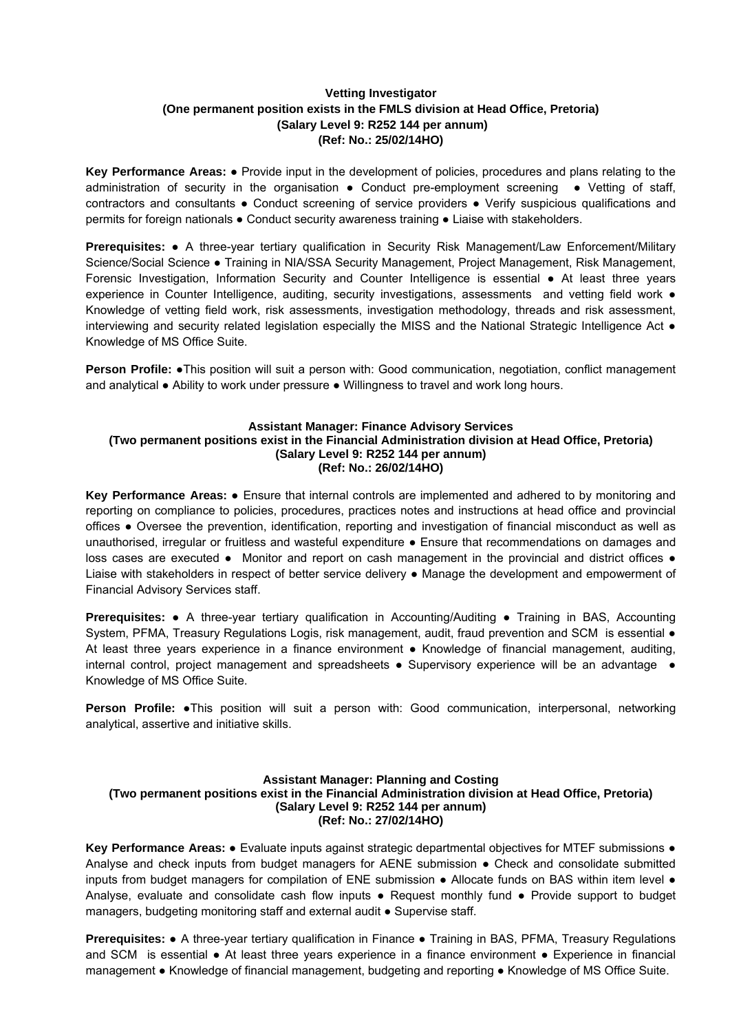# **Vetting Investigator (One permanent position exists in the FMLS division at Head Office, Pretoria) (Salary Level 9: R252 144 per annum) (Ref: No.: 25/02/14HO)**

**Key Performance Areas:** ● Provide input in the development of policies, procedures and plans relating to the administration of security in the organisation  $\bullet$  Conduct pre-employment screening  $\bullet$  Vetting of staff, contractors and consultants ● Conduct screening of service providers ● Verify suspicious qualifications and permits for foreign nationals ● Conduct security awareness training ● Liaise with stakeholders.

**Prerequisites:** ● A three-year tertiary qualification in Security Risk Management/Law Enforcement/Military Science/Social Science ● Training in NIA/SSA Security Management, Project Management, Risk Management, Forensic Investigation, Information Security and Counter Intelligence is essential ● At least three years experience in Counter Intelligence, auditing, security investigations, assessments and vetting field work ● Knowledge of vetting field work, risk assessments, investigation methodology, threads and risk assessment, interviewing and security related legislation especially the MISS and the National Strategic Intelligence Act ● Knowledge of MS Office Suite.

**Person Profile:** ●This position will suit a person with: Good communication, negotiation, conflict management and analytical ● Ability to work under pressure ● Willingness to travel and work long hours.

### **Assistant Manager: Finance Advisory Services (Two permanent positions exist in the Financial Administration division at Head Office, Pretoria) (Salary Level 9: R252 144 per annum) (Ref: No.: 26/02/14HO)**

**Key Performance Areas:** ● Ensure that internal controls are implemented and adhered to by monitoring and reporting on compliance to policies, procedures, practices notes and instructions at head office and provincial offices ● Oversee the prevention, identification, reporting and investigation of financial misconduct as well as unauthorised, irregular or fruitless and wasteful expenditure ● Ensure that recommendations on damages and loss cases are executed • Monitor and report on cash management in the provincial and district offices • Liaise with stakeholders in respect of better service delivery ● Manage the development and empowerment of Financial Advisory Services staff.

**Prerequisites:** • A three-year tertiary qualification in Accounting/Auditing • Training in BAS, Accounting System, PFMA, Treasury Regulations Logis, risk management, audit, fraud prevention and SCM is essential  $\bullet$ At least three years experience in a finance environment ● Knowledge of financial management, auditing, internal control, project management and spreadsheets • Supervisory experience will be an advantage • Knowledge of MS Office Suite.

**Person Profile:** •This position will suit a person with: Good communication, interpersonal, networking analytical, assertive and initiative skills.

### **Assistant Manager: Planning and Costing (Two permanent positions exist in the Financial Administration division at Head Office, Pretoria) (Salary Level 9: R252 144 per annum) (Ref: No.: 27/02/14HO)**

**Key Performance Areas:** ● Evaluate inputs against strategic departmental objectives for MTEF submissions ● Analyse and check inputs from budget managers for AENE submission ● Check and consolidate submitted inputs from budget managers for compilation of ENE submission • Allocate funds on BAS within item level • Analyse, evaluate and consolidate cash flow inputs ● Request monthly fund ● Provide support to budget managers, budgeting monitoring staff and external audit ● Supervise staff.

**Prerequisites:** ● A three-year tertiary qualification in Finance ● Training in BAS, PFMA, Treasury Regulations and SCM is essential • At least three years experience in a finance environment • Experience in financial management ● Knowledge of financial management, budgeting and reporting ● Knowledge of MS Office Suite.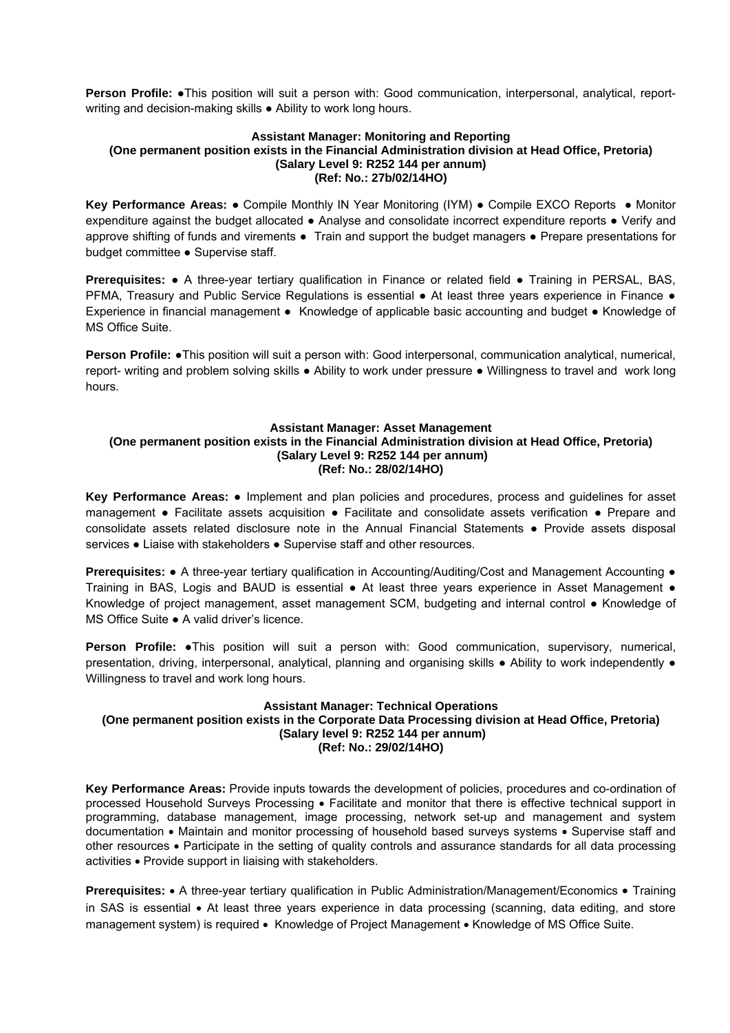**Person Profile:** ●This position will suit a person with: Good communication, interpersonal, analytical, reportwriting and decision-making skills ● Ability to work long hours.

### **Assistant Manager: Monitoring and Reporting (One permanent position exists in the Financial Administration division at Head Office, Pretoria) (Salary Level 9: R252 144 per annum) (Ref: No.: 27b/02/14HO)**

**Key Performance Areas:** ● Compile Monthly IN Year Monitoring (IYM) ● Compile EXCO Reports ● Monitor expenditure against the budget allocated ● Analyse and consolidate incorrect expenditure reports ● Verify and approve shifting of funds and virements ● Train and support the budget managers ● Prepare presentations for budget committee ● Supervise staff.

**Prerequisites: •** A three-year tertiary qualification in Finance or related field • Training in PERSAL, BAS, PFMA. Treasury and Public Service Regulations is essential ● At least three years experience in Finance ● Experience in financial management ● Knowledge of applicable basic accounting and budget ● Knowledge of MS Office Suite.

**Person Profile:** ●This position will suit a person with: Good interpersonal, communication analytical, numerical, report- writing and problem solving skills ● Ability to work under pressure ● Willingness to travel and work long hours.

### **Assistant Manager: Asset Management (One permanent position exists in the Financial Administration division at Head Office, Pretoria) (Salary Level 9: R252 144 per annum) (Ref: No.: 28/02/14HO)**

**Key Performance Areas:** ● Implement and plan policies and procedures, process and guidelines for asset management ● Facilitate assets acquisition ● Facilitate and consolidate assets verification ● Prepare and consolidate assets related disclosure note in the Annual Financial Statements ● Provide assets disposal services • Liaise with stakeholders • Supervise staff and other resources.

**Prerequisites:** ● A three-year tertiary qualification in Accounting/Auditing/Cost and Management Accounting ● Training in BAS, Logis and BAUD is essential ● At least three vears experience in Asset Management ● Knowledge of project management, asset management SCM, budgeting and internal control ● Knowledge of MS Office Suite ● A valid driver's licence.

**Person Profile:** •This position will suit a person with: Good communication, supervisory, numerical, presentation, driving, interpersonal, analytical, planning and organising skills ● Ability to work independently ● Willingness to travel and work long hours.

## **Assistant Manager: Technical Operations**

### **(One permanent position exists in the Corporate Data Processing division at Head Office, Pretoria) (Salary level 9: R252 144 per annum) (Ref: No.: 29/02/14HO)**

**Key Performance Areas:** Provide inputs towards the development of policies, procedures and co-ordination of processed Household Surveys Processing Facilitate and monitor that there is effective technical support in programming, database management, image processing, network set-up and management and system documentation • Maintain and monitor processing of household based surveys systems • Supervise staff and other resources Participate in the setting of quality controls and assurance standards for all data processing activities Provide support in liaising with stakeholders.

**Prerequisites:** • A three-year tertiary qualification in Public Administration/Management/Economics • Training in SAS is essential • At least three years experience in data processing (scanning, data editing, and store management system) is required • Knowledge of Project Management • Knowledge of MS Office Suite.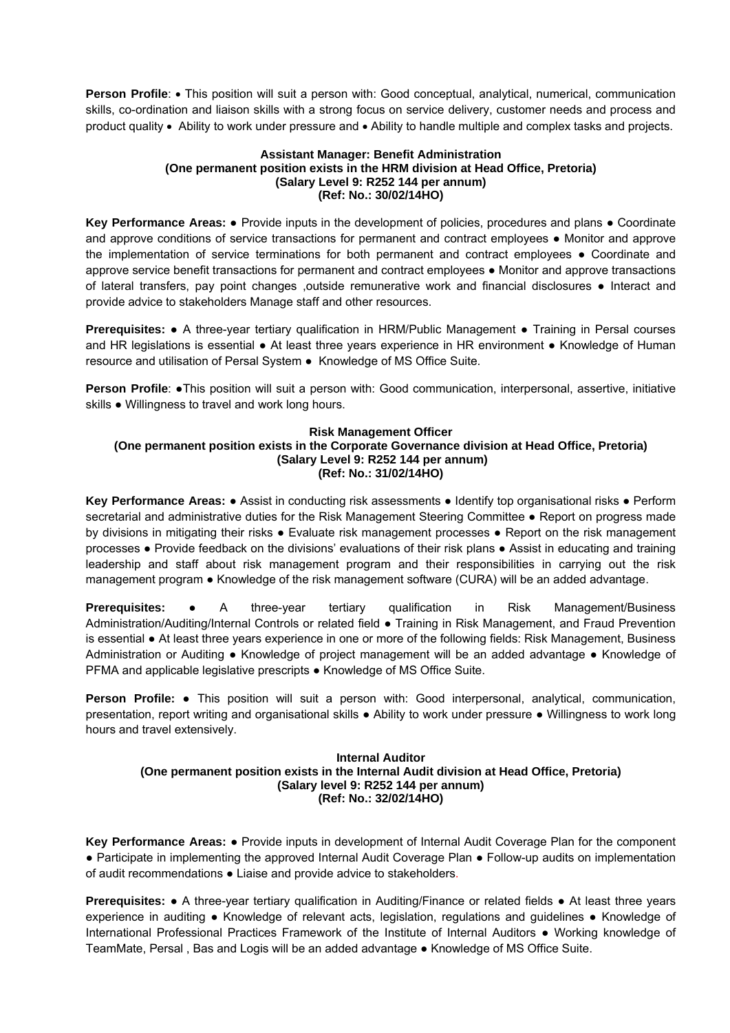Person Profile: . This position will suit a person with: Good conceptual, analytical, numerical, communication skills, co-ordination and liaison skills with a strong focus on service delivery, customer needs and process and product quality • Ability to work under pressure and • Ability to handle multiple and complex tasks and projects.

### **Assistant Manager: Benefit Administration (One permanent position exists in the HRM division at Head Office, Pretoria) (Salary Level 9: R252 144 per annum) (Ref: No.: 30/02/14HO)**

**Key Performance Areas:** ● Provide inputs in the development of policies, procedures and plans ● Coordinate and approve conditions of service transactions for permanent and contract employees ● Monitor and approve the implementation of service terminations for both permanent and contract employees ● Coordinate and approve service benefit transactions for permanent and contract employees ● Monitor and approve transactions of lateral transfers, pay point changes ,outside remunerative work and financial disclosures ● Interact and provide advice to stakeholders Manage staff and other resources.

**Prerequisites:** ● A three-year tertiary qualification in HRM/Public Management ● Training in Persal courses and HR legislations is essential ● At least three years experience in HR environment ● Knowledge of Human resource and utilisation of Persal System ● Knowledge of MS Office Suite.

**Person Profile: ●This position will suit a person with: Good communication, interpersonal, assertive, initiative** skills ● Willingness to travel and work long hours.

### **Risk Management Officer**

**(One permanent position exists in the Corporate Governance division at Head Office, Pretoria) (Salary Level 9: R252 144 per annum) (Ref: No.: 31/02/14HO)** 

**Key Performance Areas:** ● Assist in conducting risk assessments ● Identify top organisational risks ● Perform secretarial and administrative duties for the Risk Management Steering Committee • Report on progress made by divisions in mitigating their risks ● Evaluate risk management processes ● Report on the risk management processes ● Provide feedback on the divisions' evaluations of their risk plans ● Assist in educating and training leadership and staff about risk management program and their responsibilities in carrying out the risk management program ● Knowledge of the risk management software (CURA) will be an added advantage.

**Prerequisites:** • A three-year tertiary qualification in Risk Management/Business Administration/Auditing/Internal Controls or related field ● Training in Risk Management, and Fraud Prevention is essential ● At least three years experience in one or more of the following fields: Risk Management, Business Administration or Auditing ● Knowledge of project management will be an added advantage ● Knowledge of PFMA and applicable legislative prescripts ● Knowledge of MS Office Suite.

**Person Profile:** ● This position will suit a person with: Good interpersonal, analytical, communication, presentation, report writing and organisational skills ● Ability to work under pressure ● Willingness to work long hours and travel extensively.

### **Internal Auditor (One permanent position exists in the Internal Audit division at Head Office, Pretoria) (Salary level 9: R252 144 per annum) (Ref: No.: 32/02/14HO)**

**Key Performance Areas:** ● Provide inputs in development of Internal Audit Coverage Plan for the component ● Participate in implementing the approved Internal Audit Coverage Plan ● Follow-up audits on implementation of audit recommendations ● Liaise and provide advice to stakeholders.

**Prerequisites: •** A three-year tertiary qualification in Auditing/Finance or related fields • At least three years experience in auditing ● Knowledge of relevant acts, legislation, regulations and guidelines ● Knowledge of International Professional Practices Framework of the Institute of Internal Auditors ● Working knowledge of TeamMate, Persal , Bas and Logis will be an added advantage ● Knowledge of MS Office Suite.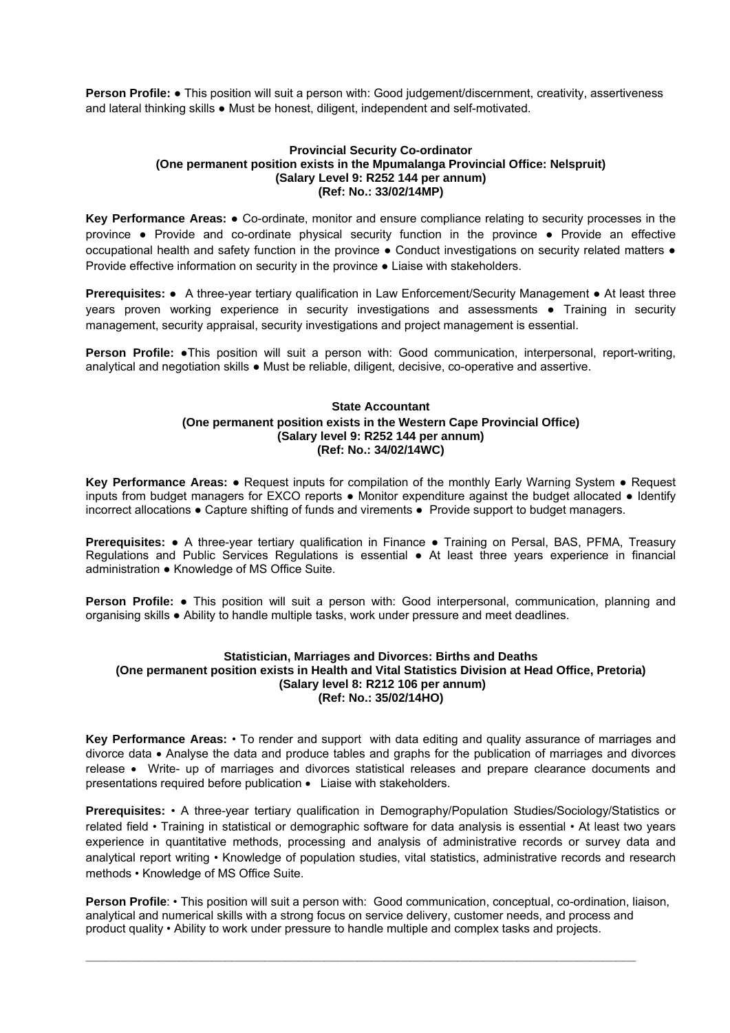**Person Profile: ●** This position will suit a person with: Good judgement/discernment, creativity, assertiveness and lateral thinking skills • Must be honest, diligent, independent and self-motivated.

### **Provincial Security Co-ordinator (One permanent position exists in the Mpumalanga Provincial Office: Nelspruit) (Salary Level 9: R252 144 per annum) (Ref: No.: 33/02/14MP)**

**Key Performance Areas:** ● Co-ordinate, monitor and ensure compliance relating to security processes in the province ● Provide and co-ordinate physical security function in the province ● Provide an effective occupational health and safety function in the province ● Conduct investigations on security related matters ● Provide effective information on security in the province ● Liaise with stakeholders.

**Prerequisites:** ● A three-year tertiary qualification in Law Enforcement/Security Management ● At least three years proven working experience in security investigations and assessments • Training in security management, security appraisal, security investigations and project management is essential.

**Person Profile:** ●This position will suit a person with: Good communication, interpersonal, report-writing, analytical and negotiation skills ● Must be reliable, diligent, decisive, co-operative and assertive.

### **State Accountant (One permanent position exists in the Western Cape Provincial Office) (Salary level 9: R252 144 per annum) (Ref: No.: 34/02/14WC)**

**Key Performance Areas:** ● Request inputs for compilation of the monthly Early Warning System ● Request inputs from budget managers for EXCO reports ● Monitor expenditure against the budget allocated ● Identify incorrect allocations ● Capture shifting of funds and virements ● Provide support to budget managers.

**Prerequisites:** ● A three-year tertiary qualification in Finance ● Training on Persal, BAS, PFMA, Treasury Regulations and Public Services Regulations is essential ● At least three years experience in financial administration ● Knowledge of MS Office Suite.

**Person Profile:** • This position will suit a person with: Good interpersonal, communication, planning and organising skills ● Ability to handle multiple tasks, work under pressure and meet deadlines.

#### **Statistician, Marriages and Divorces: Births and Deaths (One permanent position exists in Health and Vital Statistics Division at Head Office, Pretoria) (Salary level 8: R212 106 per annum) (Ref: No.: 35/02/14HO)**

**Key Performance Areas:** • To render and support with data editing and quality assurance of marriages and divorce data Analyse the data and produce tables and graphs for the publication of marriages and divorces release Write- up of marriages and divorces statistical releases and prepare clearance documents and presentations required before publication . Liaise with stakeholders.

**Prerequisites:** • A three-year tertiary qualification in Demography/Population Studies/Sociology/Statistics or related field • Training in statistical or demographic software for data analysis is essential • At least two years experience in quantitative methods, processing and analysis of administrative records or survey data and analytical report writing • Knowledge of population studies, vital statistics, administrative records and research methods • Knowledge of MS Office Suite.

**Person Profile**: • This position will suit a person with: Good communication, conceptual, co-ordination, liaison, analytical and numerical skills with a strong focus on service delivery, customer needs, and process and product quality • Ability to work under pressure to handle multiple and complex tasks and projects.

**\_\_\_\_\_\_\_\_\_\_\_\_\_\_\_\_\_\_\_\_\_\_\_\_\_\_\_\_\_\_\_\_\_\_\_\_\_\_\_\_\_\_\_\_\_\_\_\_\_\_\_\_\_\_\_\_\_\_\_\_\_\_\_\_\_\_\_\_\_\_\_\_\_\_\_\_\_\_\_\_\_\_\_**